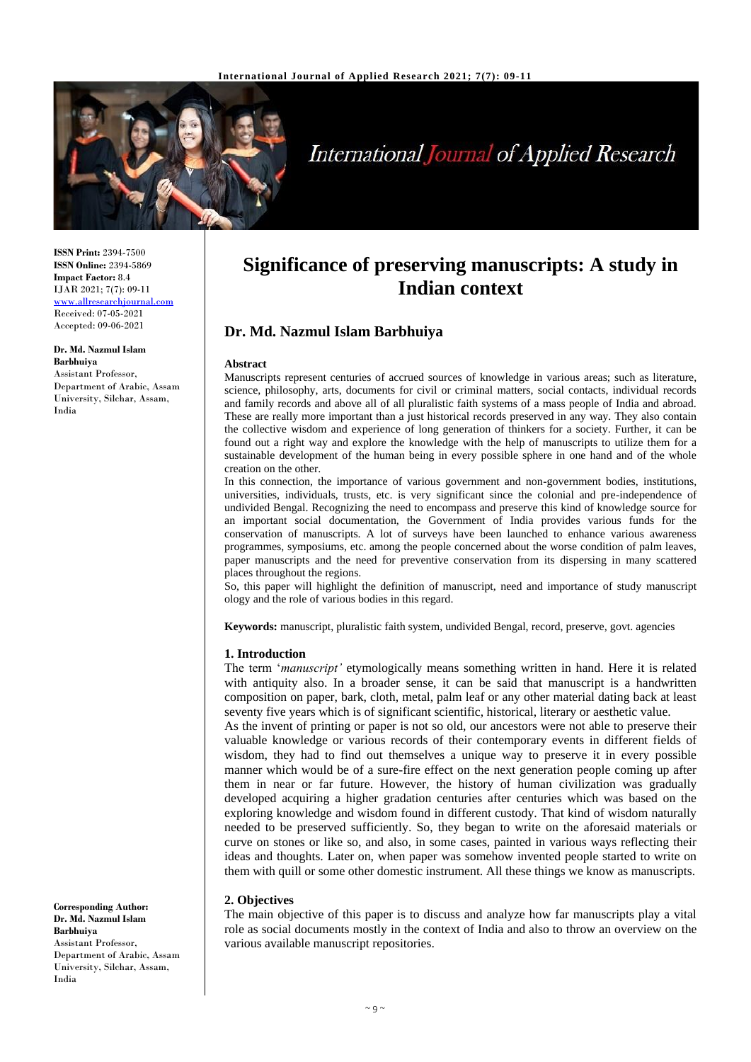

# **International Journal of Applied Research**

**ISSN Print:** 2394-7500 **ISSN Online:** 2394-5869 **Impact Factor:** 8.4 IJAR 2021; 7(7): 09-11 <www.allresearchjournal.com> Received: 07-05-2021 Accepted: 09-06-2021

# **Dr. Md. Nazmul Islam**

**Barbhuiya** Assistant Professor, Department of Arabic, Assam University, Silchar, Assam, India

**Significance of preserving manuscripts: A study in Indian context**

# **Dr. Md. Nazmul Islam Barbhuiya**

#### **Abstract**

Manuscripts represent centuries of accrued sources of knowledge in various areas; such as literature, science, philosophy, arts, documents for civil or criminal matters, social contacts, individual records and family records and above all of all pluralistic faith systems of a mass people of India and abroad. These are really more important than a just historical records preserved in any way. They also contain the collective wisdom and experience of long generation of thinkers for a society. Further, it can be found out a right way and explore the knowledge with the help of manuscripts to utilize them for a sustainable development of the human being in every possible sphere in one hand and of the whole creation on the other.

In this connection, the importance of various government and non-government bodies, institutions, universities, individuals, trusts, etc. is very significant since the colonial and pre-independence of undivided Bengal. Recognizing the need to encompass and preserve this kind of knowledge source for an important social documentation, the Government of India provides various funds for the conservation of manuscripts. A lot of surveys have been launched to enhance various awareness programmes, symposiums, etc. among the people concerned about the worse condition of palm leaves, paper manuscripts and the need for preventive conservation from its dispersing in many scattered places throughout the regions.

So, this paper will highlight the definition of manuscript, need and importance of study manuscript ology and the role of various bodies in this regard.

**Keywords:** manuscript, pluralistic faith system, undivided Bengal, record, preserve, govt. agencies

#### **1. Introduction**

The term '*manuscript'* etymologically means something written in hand. Here it is related with antiquity also. In a broader sense, it can be said that manuscript is a handwritten composition on paper, bark, cloth, metal, palm leaf or any other material dating back at least seventy five years which is of significant scientific, historical, literary or aesthetic value.

As the invent of printing or paper is not so old, our ancestors were not able to preserve their valuable knowledge or various records of their contemporary events in different fields of wisdom, they had to find out themselves a unique way to preserve it in every possible manner which would be of a sure-fire effect on the next generation people coming up after them in near or far future. However, the history of human civilization was gradually developed acquiring a higher gradation centuries after centuries which was based on the exploring knowledge and wisdom found in different custody. That kind of wisdom naturally needed to be preserved sufficiently. So, they began to write on the aforesaid materials or curve on stones or like so, and also, in some cases, painted in various ways reflecting their ideas and thoughts. Later on, when paper was somehow invented people started to write on them with quill or some other domestic instrument. All these things we know as manuscripts.

## **2. Objectives**

The main objective of this paper is to discuss and analyze how far manuscripts play a vital role as social documents mostly in the context of India and also to throw an overview on the various available manuscript repositories.

**Corresponding Author: Dr. Md. Nazmul Islam Barbhuiya** Assistant Professor, Department of Arabic, Assam University, Silchar, Assam, India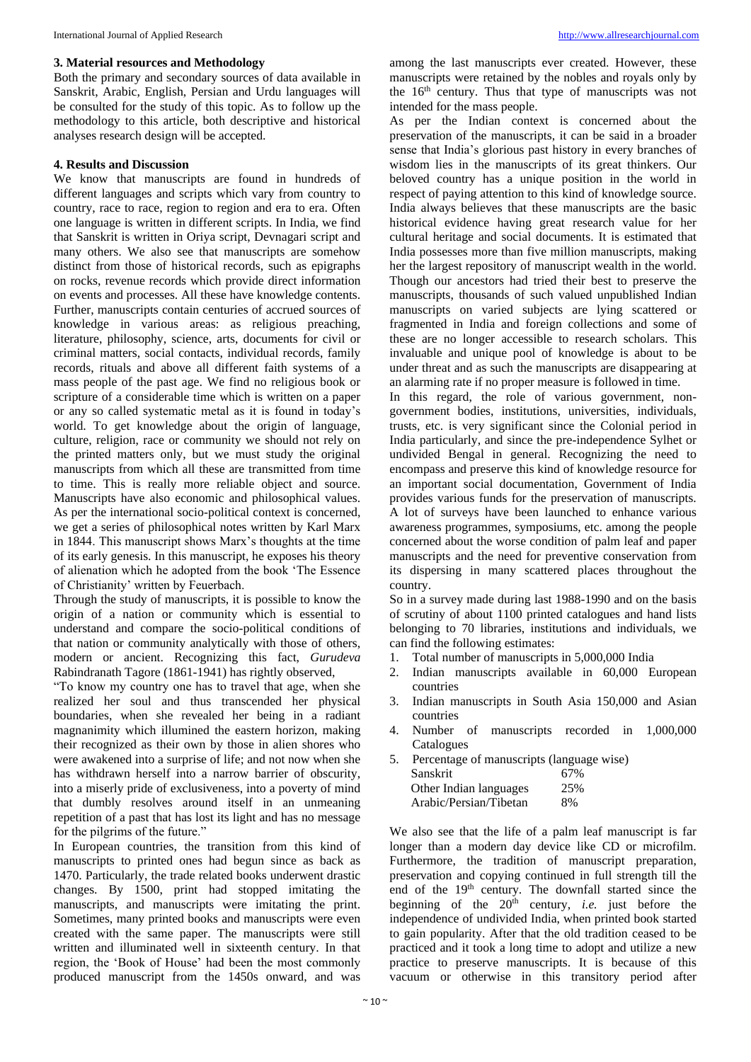#### **3. Material resources and Methodology**

Both the primary and secondary sources of data available in Sanskrit, Arabic, English, Persian and Urdu languages will be consulted for the study of this topic. As to follow up the methodology to this article, both descriptive and historical analyses research design will be accepted.

#### **4. Results and Discussion**

We know that manuscripts are found in hundreds of different languages and scripts which vary from country to country, race to race, region to region and era to era. Often one language is written in different scripts. In India, we find that Sanskrit is written in Oriya script, Devnagari script and many others. We also see that manuscripts are somehow distinct from those of historical records, such as epigraphs on rocks, revenue records which provide direct information on events and processes. All these have knowledge contents. Further, manuscripts contain centuries of accrued sources of knowledge in various areas: as religious preaching, literature, philosophy, science, arts, documents for civil or criminal matters, social contacts, individual records, family records, rituals and above all different faith systems of a mass people of the past age. We find no religious book or scripture of a considerable time which is written on a paper or any so called systematic metal as it is found in today's world. To get knowledge about the origin of language, culture, religion, race or community we should not rely on the printed matters only, but we must study the original manuscripts from which all these are transmitted from time to time. This is really more reliable object and source. Manuscripts have also economic and philosophical values. As per the international socio-political context is concerned, we get a series of philosophical notes written by Karl Marx in 1844. This manuscript shows Marx's thoughts at the time of its early genesis. In this manuscript, he exposes his theory of alienation which he adopted from the book 'The Essence of Christianity' written by Feuerbach.

Through the study of manuscripts, it is possible to know the origin of a nation or community which is essential to understand and compare the socio-political conditions of that nation or community analytically with those of others, modern or ancient. Recognizing this fact, *Gurudeva*  Rabindranath Tagore (1861-1941) has rightly observed,

"To know my country one has to travel that age, when she realized her soul and thus transcended her physical boundaries, when she revealed her being in a radiant magnanimity which illumined the eastern horizon, making their recognized as their own by those in alien shores who were awakened into a surprise of life; and not now when she has withdrawn herself into a narrow barrier of obscurity, into a miserly pride of exclusiveness, into a poverty of mind that dumbly resolves around itself in an unmeaning repetition of a past that has lost its light and has no message for the pilgrims of the future."

In European countries, the transition from this kind of manuscripts to printed ones had begun since as back as 1470. Particularly, the trade related books underwent drastic changes. By 1500, print had stopped imitating the manuscripts, and manuscripts were imitating the print. Sometimes, many printed books and manuscripts were even created with the same paper. The manuscripts were still written and illuminated well in sixteenth century. In that region, the 'Book of House' had been the most commonly produced manuscript from the 1450s onward, and was

among the last manuscripts ever created. However, these manuscripts were retained by the nobles and royals only by the  $16<sup>th</sup>$  century. Thus that type of manuscripts was not intended for the mass people.

As per the Indian context is concerned about the preservation of the manuscripts, it can be said in a broader sense that India's glorious past history in every branches of wisdom lies in the manuscripts of its great thinkers. Our beloved country has a unique position in the world in respect of paying attention to this kind of knowledge source. India always believes that these manuscripts are the basic historical evidence having great research value for her cultural heritage and social documents. It is estimated that India possesses more than five million manuscripts, making her the largest repository of manuscript wealth in the world. Though our ancestors had tried their best to preserve the manuscripts, thousands of such valued unpublished Indian manuscripts on varied subjects are lying scattered or fragmented in India and foreign collections and some of these are no longer accessible to research scholars. This invaluable and unique pool of knowledge is about to be under threat and as such the manuscripts are disappearing at an alarming rate if no proper measure is followed in time.

In this regard, the role of various government, nongovernment bodies, institutions, universities, individuals, trusts, etc. is very significant since the Colonial period in India particularly, and since the pre-independence Sylhet or undivided Bengal in general. Recognizing the need to encompass and preserve this kind of knowledge resource for an important social documentation, Government of India provides various funds for the preservation of manuscripts. A lot of surveys have been launched to enhance various awareness programmes, symposiums, etc. among the people concerned about the worse condition of palm leaf and paper manuscripts and the need for preventive conservation from its dispersing in many scattered places throughout the country.

So in a survey made during last 1988-1990 and on the basis of scrutiny of about 1100 printed catalogues and hand lists belonging to 70 libraries, institutions and individuals, we can find the following estimates:

- 1. Total number of manuscripts in 5,000,000 India
- 2. Indian manuscripts available in 60,000 European countries
- 3. Indian manuscripts in South Asia 150,000 and Asian countries
- 4. Number of manuscripts recorded in 1,000,000 Catalogues
- 5. Percentage of manuscripts (language wise) Sanskrit 67% Other Indian languages 25% Arabic/Persian/Tibetan 8%

We also see that the life of a palm leaf manuscript is far longer than a modern day device like CD or microfilm. Furthermore, the tradition of manuscript preparation, preservation and copying continued in full strength till the end of the 19th century. The downfall started since the beginning of the  $20<sup>th</sup>$  century, *i.e.* just before the independence of undivided India, when printed book started to gain popularity. After that the old tradition ceased to be practiced and it took a long time to adopt and utilize a new practice to preserve manuscripts. It is because of this vacuum or otherwise in this transitory period after